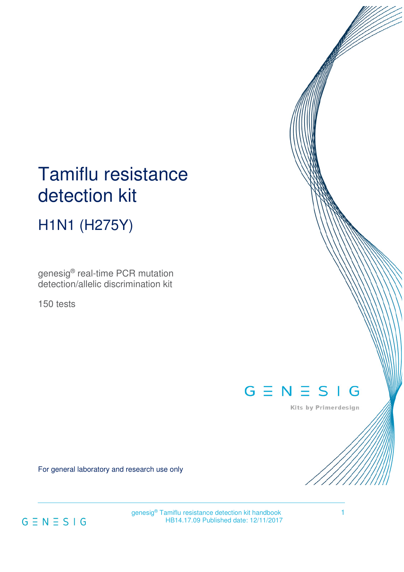# Tamiflu resistance detection kit

H1N1 (H275Y)

genesig® real-time PCR mutation detection/allelic discrimination kit

150 tests

# $G \equiv N \equiv S \mid G$

Kits by Primerdesign

For general laboratory and research use only



genesig® Tamiflu resistance detection kit handbook<br>
HB14.17.09 Published date: 12/11/2017 HB14.17.09 Published date: 12/11/2017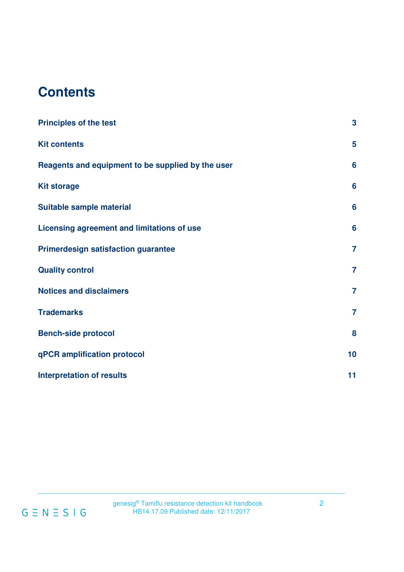# **Contents**

| <b>Principles of the test</b>                     | 3                       |
|---------------------------------------------------|-------------------------|
| <b>Kit contents</b>                               | $\overline{\mathbf{5}}$ |
| Reagents and equipment to be supplied by the user | 6                       |
| <b>Kit storage</b>                                | 6                       |
| Suitable sample material                          | 6                       |
| Licensing agreement and limitations of use        | 6                       |
| <b>Primerdesign satisfaction guarantee</b>        | $\overline{7}$          |
| <b>Quality control</b>                            | $\overline{7}$          |
| <b>Notices and disclaimers</b>                    | $\overline{7}$          |
| <b>Trademarks</b>                                 | $\overline{7}$          |
| <b>Bench-side protocol</b>                        | 8                       |
| qPCR amplification protocol                       | 10                      |
| <b>Interpretation of results</b>                  | 11                      |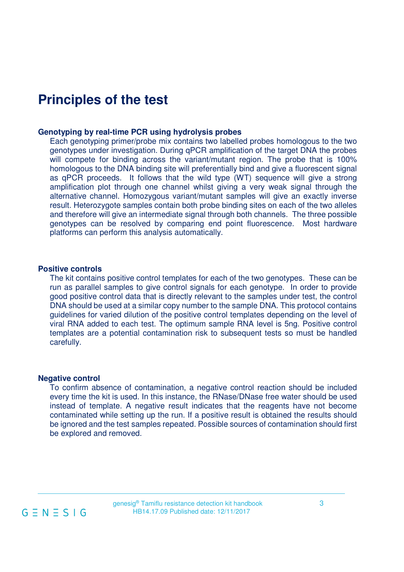### **Principles of the test**

#### **Genotyping by real-time PCR using hydrolysis probes**

Each genotyping primer/probe mix contains two labelled probes homologous to the two genotypes under investigation. During qPCR amplification of the target DNA the probes will compete for binding across the variant/mutant region. The probe that is 100% homologous to the DNA binding site will preferentially bind and give a fluorescent signal as qPCR proceeds. It follows that the wild type (WT) sequence will give a strong amplification plot through one channel whilst giving a very weak signal through the alternative channel. Homozygous variant/mutant samples will give an exactly inverse result. Heterozygote samples contain both probe binding sites on each of the two alleles and therefore will give an intermediate signal through both channels. The three possible genotypes can be resolved by comparing end point fluorescence. Most hardware platforms can perform this analysis automatically.

#### **Positive controls**

The kit contains positive control templates for each of the two genotypes. These can be run as parallel samples to give control signals for each genotype. In order to provide good positive control data that is directly relevant to the samples under test, the control DNA should be used at a similar copy number to the sample DNA. This protocol contains guidelines for varied dilution of the positive control templates depending on the level of viral RNA added to each test. The optimum sample RNA level is 5ng. Positive control templates are a potential contamination risk to subsequent tests so must be handled carefully.

#### **Negative control**

To confirm absence of contamination, a negative control reaction should be included every time the kit is used. In this instance, the RNase/DNase free water should be used instead of template. A negative result indicates that the reagents have not become contaminated while setting up the run. If a positive result is obtained the results should be ignored and the test samples repeated. Possible sources of contamination should first be explored and removed.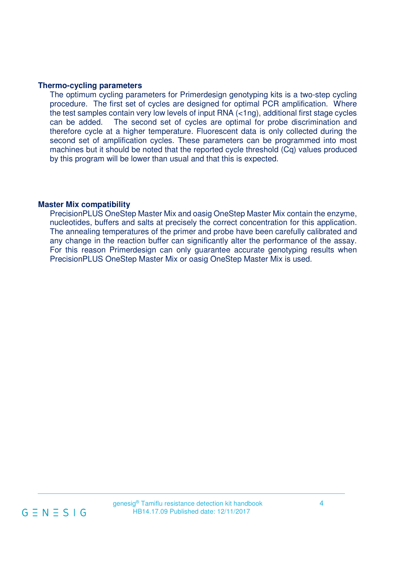#### **Thermo-cycling parameters**

The optimum cycling parameters for Primerdesign genotyping kits is a two-step cycling procedure. The first set of cycles are designed for optimal PCR amplification. Where the test samples contain very low levels of input RNA (<1ng), additional first stage cycles can be added. The second set of cycles are optimal for probe discrimination and therefore cycle at a higher temperature. Fluorescent data is only collected during the second set of amplification cycles. These parameters can be programmed into most machines but it should be noted that the reported cycle threshold (Cq) values produced by this program will be lower than usual and that this is expected.

#### **Master Mix compatibility**

PrecisionPLUS OneStep Master Mix and oasig OneStep Master Mix contain the enzyme, nucleotides, buffers and salts at precisely the correct concentration for this application. The annealing temperatures of the primer and probe have been carefully calibrated and any change in the reaction buffer can significantly alter the performance of the assay. For this reason Primerdesign can only guarantee accurate genotyping results when PrecisionPLUS OneStep Master Mix or oasig OneStep Master Mix is used.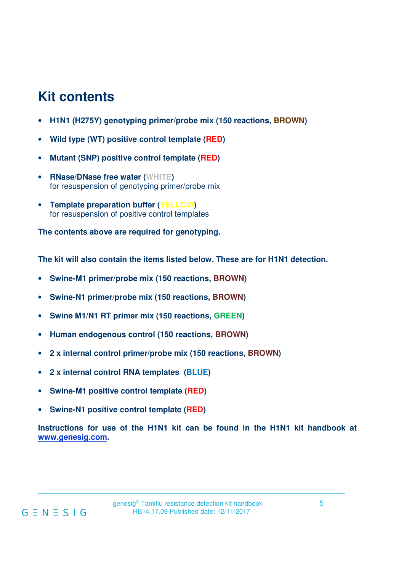# **Kit contents**

- **H1N1 (H275Y) genotyping primer/probe mix (150 reactions, BROWN)**
- **Wild type (WT) positive control template (RED)**
- **Mutant (SNP) positive control template (RED)**
- **RNase/DNase free water (WHITE)**  for resuspension of genotyping primer/probe mix
- **Template preparation buffer (YELLOW)**  for resuspension of positive control templates

**The contents above are required for genotyping.** 

**The kit will also contain the items listed below. These are for H1N1 detection.** 

- **Swine-M1 primer/probe mix (150 reactions, BROWN)**
- **Swine-N1 primer/probe mix (150 reactions, BROWN)**
- **Swine M1/N1 RT primer mix (150 reactions, GREEN)**
- **Human endogenous control (150 reactions, BROWN)**
- **2 x internal control primer/probe mix (150 reactions, BROWN)**
- **2 x internal control RNA templates (BLUE)**
- **Swine-M1 positive control template (RED)**
- **Swine-N1 positive control template (RED)**

**Instructions for use of the H1N1 kit can be found in the H1N1 kit handbook at www.genesig.com.**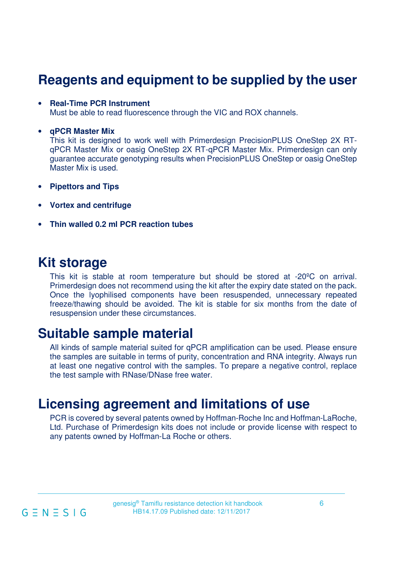## **Reagents and equipment to be supplied by the user**

#### • **Real-Time PCR Instrument**

Must be able to read fluorescence through the VIC and ROX channels.

#### • **qPCR Master Mix**

This kit is designed to work well with Primerdesign PrecisionPLUS OneStep 2X RTqPCR Master Mix or oasig OneStep 2X RT-qPCR Master Mix. Primerdesign can only guarantee accurate genotyping results when PrecisionPLUS OneStep or oasig OneStep Master Mix is used.

- **Pipettors and Tips**
- **Vortex and centrifuge**
- **Thin walled 0.2 ml PCR reaction tubes**

### **Kit storage**

This kit is stable at room temperature but should be stored at -20ºC on arrival. Primerdesign does not recommend using the kit after the expiry date stated on the pack. Once the lyophilised components have been resuspended, unnecessary repeated freeze/thawing should be avoided. The kit is stable for six months from the date of resuspension under these circumstances.

### **Suitable sample material**

All kinds of sample material suited for qPCR amplification can be used. Please ensure the samples are suitable in terms of purity, concentration and RNA integrity. Always run at least one negative control with the samples. To prepare a negative control, replace the test sample with RNase/DNase free water.

### **Licensing agreement and limitations of use**

PCR is covered by several patents owned by Hoffman-Roche Inc and Hoffman-LaRoche, Ltd. Purchase of Primerdesign kits does not include or provide license with respect to any patents owned by Hoffman-La Roche or others.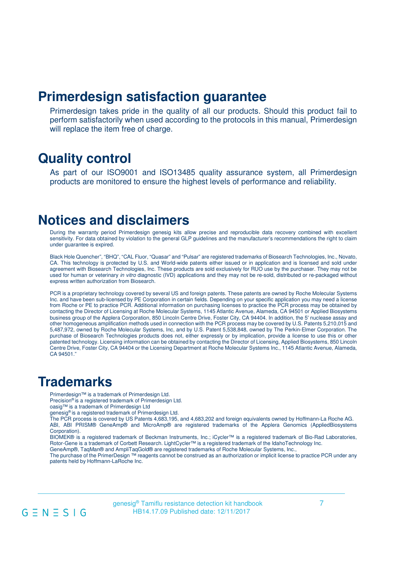### **Primerdesign satisfaction guarantee**

Primerdesign takes pride in the quality of all our products. Should this product fail to perform satisfactorily when used according to the protocols in this manual, Primerdesign will replace the item free of charge.

### **Quality control**

As part of our ISO9001 and ISO13485 quality assurance system, all Primerdesign products are monitored to ensure the highest levels of performance and reliability.

### **Notices and disclaimers**

During the warranty period Primerdesign genesig kits allow precise and reproducible data recovery combined with excellent sensitivity. For data obtained by violation to the general GLP guidelines and the manufacturer's recommendations the right to claim under guarantee is expired.

Black Hole Quencher", "BHQ", "CAL Fluor, "Quasar" and "Pulsar" are registered trademarks of Biosearch Technologies, Inc., Novato, CA. This technology is protected by U.S. and World-wide patents either issued or in application and is licensed and sold under agreement with Biosearch Technologies, Inc. These products are sold exclusively for RUO use by the purchaser. They may not be used for human or veterinary in vitro diagnostic (IVD) applications and they may not be re-sold, distributed or re-packaged without express written authorization from Biosearch.

PCR is a proprietary technology covered by several US and foreign patents. These patents are owned by Roche Molecular Systems Inc. and have been sub-licensed by PE Corporation in certain fields. Depending on your specific application you may need a license from Roche or PE to practice PCR. Additional information on purchasing licenses to practice the PCR process may be obtained by contacting the Director of Licensing at Roche Molecular Systems, 1145 Atlantic Avenue, Alameda, CA 94501 or Applied Biosystems business group of the Applera Corporation, 850 Lincoln Centre Drive, Foster City, CA 94404. In addition, the 5' nuclease assay and other homogeneous amplification methods used in connection with the PCR process may be covered by U.S. Patents 5,210,015 and 5,487,972, owned by Roche Molecular Systems, Inc, and by U.S. Patent 5,538,848, owned by The Perkin-Elmer Corporation. The purchase of Biosearch Technologies products does not, either expressly or by implication, provide a license to use this or other patented technology. Licensing information can be obtained by contacting the Director of Licensing, Applied Biosystems, 850 Lincoln Centre Drive, Foster City, CA 94404 or the Licensing Department at Roche Molecular Systems Inc., 1145 Atlantic Avenue, Alameda, CA 94501."

### **Trademarks**

Primerdesign™ is a trademark of Primerdesign Ltd.

Precision® is a registered trademark of Primerdesign Ltd.

oasig™ is a trademark of Primerdesign Ltd

genesig® is a registered trademark of Primerdesign Ltd.

The PCR process is covered by US Patents 4,683,195, and 4,683,202 and foreign equivalents owned by Hoffmann-La Roche AG. ABI, ABI PRISM® GeneAmp® and MicroAmp® are registered trademarks of the Applera Genomics (AppliedBiosystems Corporation).

BIOMEK® is a registered trademark of Beckman Instruments, Inc.; iCycler™ is a registered trademark of Bio-Rad Laboratories, Rotor-Gene is a trademark of Corbett Research. LightCycler™ is a registered trademark of the IdahoTechnology Inc. GeneAmp®, TaqMan® and AmpliTaqGold® are registered trademarks of Roche Molecular Systems, Inc.,

The purchase of the PrimerDesign ™ reagents cannot be construed as an authorization or implicit license to practice PCR under any patents held by Hoffmann-LaRoche Inc.

genesig<sup>®</sup> Tamiflu resistance detection kit handbook<br>  $G = N = S | G$ <br>
HB14.17.09 Published date: 12/11/2017 HB14.17.09 Published date: 12/11/2017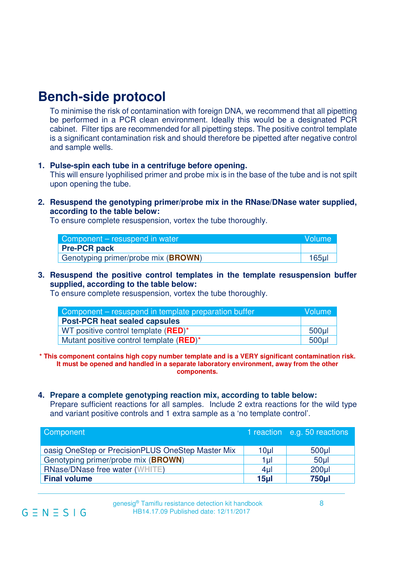### **Bench-side protocol**

To minimise the risk of contamination with foreign DNA, we recommend that all pipetting be performed in a PCR clean environment. Ideally this would be a designated PCR cabinet. Filter tips are recommended for all pipetting steps. The positive control template is a significant contamination risk and should therefore be pipetted after negative control and sample wells.

#### **1. Pulse-spin each tube in a centrifuge before opening.**

This will ensure lyophilised primer and probe mix is in the base of the tube and is not spilt upon opening the tube.

**2. Resuspend the genotyping primer/probe mix in the RNase/DNase water supplied, according to the table below:** 

To ensure complete resuspension, vortex the tube thoroughly.

| Component – resuspend in water               | Wolume! |
|----------------------------------------------|---------|
| <b>Pre-PCR pack</b>                          |         |
| Genotyping primer/probe mix ( <b>BROWN</b> ) | $165$ µ |

**3. Resuspend the positive control templates in the template resuspension buffer supplied, according to the table below:** 

To ensure complete resuspension, vortex the tube thoroughly.

| Component – resuspend in template preparation buffer         | <b>Volume</b>    |
|--------------------------------------------------------------|------------------|
| <b>Post-PCR heat sealed capsules</b>                         |                  |
| WT positive control template $(RED)^*$                       | 500 <sub>µ</sub> |
| Mutant positive control template ( <b>RED</b> ) <sup>*</sup> | 500 <sub>µ</sub> |

**\* This component contains high copy number template and is a VERY significant contamination risk. It must be opened and handled in a separate laboratory environment, away from the other components.** 

#### **4. Prepare a complete genotyping reaction mix, according to table below:**

Prepare sufficient reactions for all samples. Include 2 extra reactions for the wild type and variant positive controls and 1 extra sample as a 'no template control'.

| Component                                         |                 | 1 reaction e.g. 50 reactions |
|---------------------------------------------------|-----------------|------------------------------|
| oasig OneStep or PrecisionPLUS OneStep Master Mix | 10 <sub>µ</sub> | 500 <sub>µ</sub>             |
| Genotyping primer/probe mix (BROWN)               | 1µI             | 50 <sub>µ</sub>              |
| RNase/DNase free water (WHITE)                    | 4 <sub>µ</sub>  | $200$ µl                     |
| <b>Final volume</b>                               | 15ul            | <b>750µl</b>                 |

genesig<sup>®</sup> Tamiflu resistance detection kit handbook  $G = N = S | G$  HB14.17.09 Published date: 12/11/2017 HB14.17.09 Published date: 12/11/2017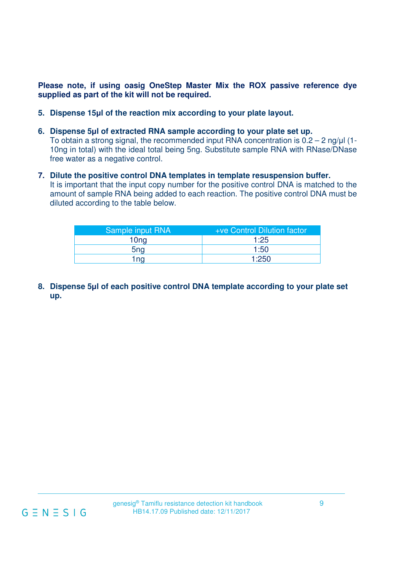**Please note, if using oasig OneStep Master Mix the ROX passive reference dye supplied as part of the kit will not be required.** 

- **5. Dispense 15μl of the reaction mix according to your plate layout.**
- **6. Dispense 5μl of extracted RNA sample according to your plate set up.** To obtain a strong signal, the recommended input RNA concentration is 0.2 – 2 ng/μl (1- 10ng in total) with the ideal total being 5ng. Substitute sample RNA with RNase/DNase free water as a negative control.
- **7. Dilute the positive control DNA templates in template resuspension buffer.** It is important that the input copy number for the positive control DNA is matched to the amount of sample RNA being added to each reaction. The positive control DNA must be diluted according to the table below.

| Sample input RNA | +ve Control Dilution factor |
|------------------|-----------------------------|
| 10 <sub>ng</sub> | 1:25                        |
| 5 <sub>ng</sub>  | 1:50                        |
| 1 na             | 1:250                       |

**8. Dispense 5μl of each positive control DNA template according to your plate set up.**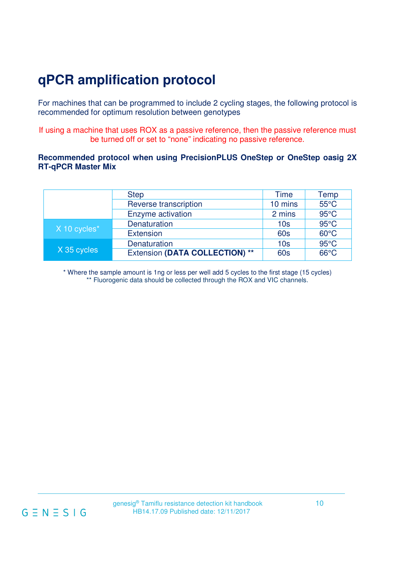# **qPCR amplification protocol**

For machines that can be programmed to include 2 cycling stages, the following protocol is recommended for optimum resolution between genotypes

If using a machine that uses ROX as a passive reference, then the passive reference must be turned off or set to "none" indicating no passive reference.

### **Recommended protocol when using PrecisionPLUS OneStep or OneStep oasig 2X RT-qPCR Master Mix**

|              | <b>Step</b>                    | Time            | Temp           |
|--------------|--------------------------------|-----------------|----------------|
|              | Reverse transcription          | 10 mins         | $55^{\circ}$ C |
|              | Enzyme activation              | 2 mins          | $95^{\circ}$ C |
|              | Denaturation                   | 10 <sub>s</sub> | $95^{\circ}$ C |
| X 10 cycles* | <b>Extension</b>               | <b>60s</b>      | $60^{\circ}$ C |
|              | Denaturation                   | 10 <sub>s</sub> | $95^{\circ}$ C |
| X 35 cycles  | Extension (DATA COLLECTION) ** | 60s             | $66^{\circ}$ C |

\* Where the sample amount is 1ng or less per well add 5 cycles to the first stage (15 cycles) \*\* Fluorogenic data should be collected through the ROX and VIC channels.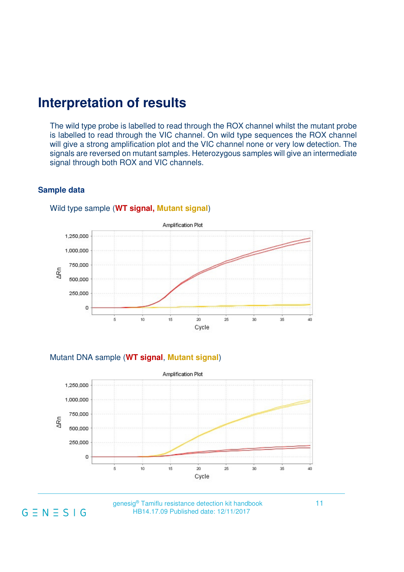### **Interpretation of results**

The wild type probe is labelled to read through the ROX channel whilst the mutant probe is labelled to read through the VIC channel. On wild type sequences the ROX channel will give a strong amplification plot and the VIC channel none or very low detection. The signals are reversed on mutant samples. Heterozygous samples will give an intermediate signal through both ROX and VIC channels.

### **Sample data**



#### Wild type sample (**WT signal, Mutant signal**)

Mutant DNA sample (**WT signal**, **Mutant signal**)



genesig<sup>®</sup> Tamiflu resistance detection kit handbook  $G \equiv N \equiv S \mid G$  HB14.17.09 Published date: 12/11/2017 HB14.17.09 Published date: 12/11/2017